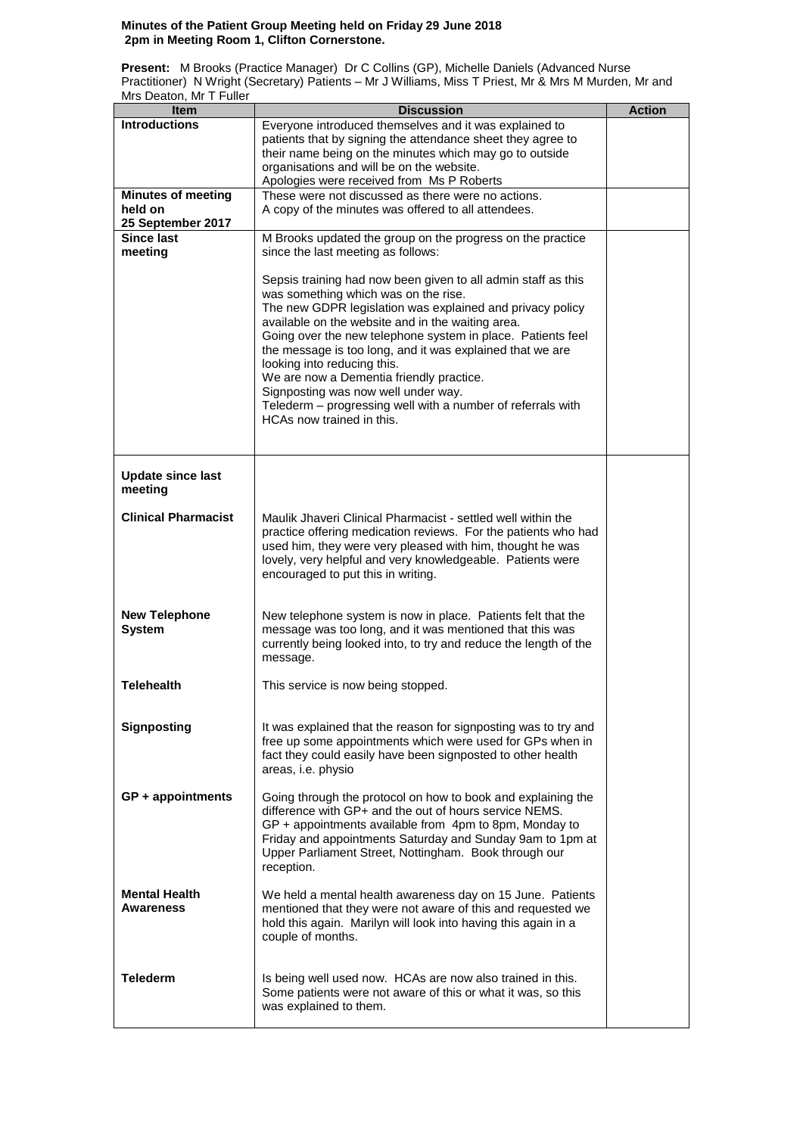## **Minutes of the Patient Group Meeting held on Friday 29 June 2018 2pm in Meeting Room 1, Clifton Cornerstone.**

**Present:** M Brooks (Practice Manager) Dr C Collins (GP), Michelle Daniels (Advanced Nurse Practitioner) N Wright (Secretary) Patients – Mr J Williams, Miss T Priest, Mr & Mrs M Murden, Mr and Mrs Deaton, Mr T Fuller

| Item                       | <b>Discussion</b>                                                                                                          | <b>Action</b> |
|----------------------------|----------------------------------------------------------------------------------------------------------------------------|---------------|
| <b>Introductions</b>       | Everyone introduced themselves and it was explained to                                                                     |               |
|                            | patients that by signing the attendance sheet they agree to                                                                |               |
|                            | their name being on the minutes which may go to outside                                                                    |               |
|                            | organisations and will be on the website.                                                                                  |               |
| <b>Minutes of meeting</b>  | Apologies were received from Ms P Roberts<br>These were not discussed as there were no actions.                            |               |
| held on                    | A copy of the minutes was offered to all attendees.                                                                        |               |
| 25 September 2017          |                                                                                                                            |               |
| Since last                 | M Brooks updated the group on the progress on the practice                                                                 |               |
| meeting                    | since the last meeting as follows:                                                                                         |               |
|                            |                                                                                                                            |               |
|                            | Sepsis training had now been given to all admin staff as this                                                              |               |
|                            | was something which was on the rise.                                                                                       |               |
|                            | The new GDPR legislation was explained and privacy policy                                                                  |               |
|                            | available on the website and in the waiting area.<br>Going over the new telephone system in place. Patients feel           |               |
|                            | the message is too long, and it was explained that we are                                                                  |               |
|                            | looking into reducing this.                                                                                                |               |
|                            | We are now a Dementia friendly practice.                                                                                   |               |
|                            | Signposting was now well under way.                                                                                        |               |
|                            | Telederm - progressing well with a number of referrals with                                                                |               |
|                            | HCAs now trained in this.                                                                                                  |               |
|                            |                                                                                                                            |               |
|                            |                                                                                                                            |               |
| <b>Update since last</b>   |                                                                                                                            |               |
| meeting                    |                                                                                                                            |               |
| <b>Clinical Pharmacist</b> | Maulik Jhaveri Clinical Pharmacist - settled well within the                                                               |               |
|                            | practice offering medication reviews. For the patients who had                                                             |               |
|                            | used him, they were very pleased with him, thought he was                                                                  |               |
|                            | lovely, very helpful and very knowledgeable. Patients were                                                                 |               |
|                            | encouraged to put this in writing.                                                                                         |               |
|                            |                                                                                                                            |               |
| <b>New Telephone</b>       | New telephone system is now in place. Patients felt that the                                                               |               |
| <b>System</b>              | message was too long, and it was mentioned that this was                                                                   |               |
|                            | currently being looked into, to try and reduce the length of the                                                           |               |
|                            | message.                                                                                                                   |               |
|                            |                                                                                                                            |               |
| <b>Telehealth</b>          | This service is now being stopped.                                                                                         |               |
|                            |                                                                                                                            |               |
| <b>Signposting</b>         | It was explained that the reason for signposting was to try and                                                            |               |
|                            | free up some appointments which were used for GPs when in                                                                  |               |
|                            | fact they could easily have been signposted to other health                                                                |               |
|                            | areas, i.e. physio                                                                                                         |               |
| $GP + appointments$        | Going through the protocol on how to book and explaining the                                                               |               |
|                            | difference with GP+ and the out of hours service NEMS.                                                                     |               |
|                            | GP + appointments available from 4pm to 8pm, Monday to                                                                     |               |
|                            | Friday and appointments Saturday and Sunday 9am to 1pm at                                                                  |               |
|                            | Upper Parliament Street, Nottingham. Book through our                                                                      |               |
|                            | reception.                                                                                                                 |               |
| <b>Mental Health</b>       | We held a mental health awareness day on 15 June. Patients                                                                 |               |
| Awareness                  | mentioned that they were not aware of this and requested we                                                                |               |
|                            | hold this again. Marilyn will look into having this again in a                                                             |               |
|                            | couple of months.                                                                                                          |               |
|                            |                                                                                                                            |               |
| <b>Telederm</b>            |                                                                                                                            |               |
|                            | Is being well used now. HCAs are now also trained in this.<br>Some patients were not aware of this or what it was, so this |               |
|                            | was explained to them.                                                                                                     |               |
|                            |                                                                                                                            |               |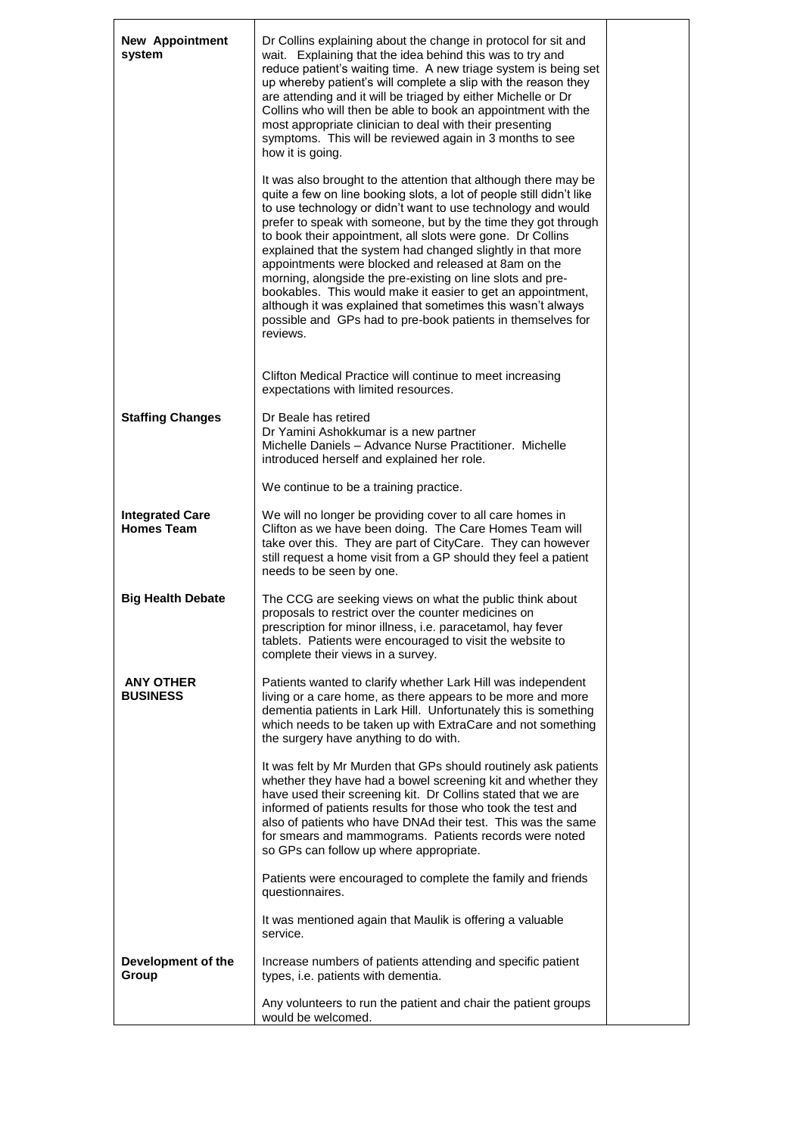| <b>New Appointment</b><br>system            | Dr Collins explaining about the change in protocol for sit and<br>wait. Explaining that the idea behind this was to try and<br>reduce patient's waiting time. A new triage system is being set<br>up whereby patient's will complete a slip with the reason they<br>are attending and it will be triaged by either Michelle or Dr<br>Collins who will then be able to book an appointment with the<br>most appropriate clinician to deal with their presenting<br>symptoms. This will be reviewed again in 3 months to see<br>how it is going.                                                                                                                                                                                        |  |  |
|---------------------------------------------|---------------------------------------------------------------------------------------------------------------------------------------------------------------------------------------------------------------------------------------------------------------------------------------------------------------------------------------------------------------------------------------------------------------------------------------------------------------------------------------------------------------------------------------------------------------------------------------------------------------------------------------------------------------------------------------------------------------------------------------|--|--|
|                                             | It was also brought to the attention that although there may be<br>quite a few on line booking slots, a lot of people still didn't like<br>to use technology or didn't want to use technology and would<br>prefer to speak with someone, but by the time they got through<br>to book their appointment, all slots were gone. Dr Collins<br>explained that the system had changed slightly in that more<br>appointments were blocked and released at 8am on the<br>morning, alongside the pre-existing on line slots and pre-<br>bookables. This would make it easier to get an appointment,<br>although it was explained that sometimes this wasn't always<br>possible and GPs had to pre-book patients in themselves for<br>reviews. |  |  |
|                                             | Clifton Medical Practice will continue to meet increasing<br>expectations with limited resources.                                                                                                                                                                                                                                                                                                                                                                                                                                                                                                                                                                                                                                     |  |  |
| <b>Staffing Changes</b>                     | Dr Beale has retired<br>Dr Yamini Ashokkumar is a new partner<br>Michelle Daniels - Advance Nurse Practitioner. Michelle<br>introduced herself and explained her role.                                                                                                                                                                                                                                                                                                                                                                                                                                                                                                                                                                |  |  |
|                                             | We continue to be a training practice.                                                                                                                                                                                                                                                                                                                                                                                                                                                                                                                                                                                                                                                                                                |  |  |
| <b>Integrated Care</b><br><b>Homes Team</b> | We will no longer be providing cover to all care homes in<br>Clifton as we have been doing. The Care Homes Team will<br>take over this. They are part of CityCare. They can however<br>still request a home visit from a GP should they feel a patient<br>needs to be seen by one.                                                                                                                                                                                                                                                                                                                                                                                                                                                    |  |  |
| <b>Big Health Debate</b>                    | The CCG are seeking views on what the public think about<br>proposals to restrict over the counter medicines on<br>prescription for minor illness, i.e. paracetamol, hay fever<br>tablets. Patients were encouraged to visit the website to<br>complete their views in a survey.                                                                                                                                                                                                                                                                                                                                                                                                                                                      |  |  |
| <b>ANY OTHER</b><br><b>BUSINESS</b>         | Patients wanted to clarify whether Lark Hill was independent<br>living or a care home, as there appears to be more and more<br>dementia patients in Lark Hill. Unfortunately this is something<br>which needs to be taken up with ExtraCare and not something<br>the surgery have anything to do with.                                                                                                                                                                                                                                                                                                                                                                                                                                |  |  |
|                                             | It was felt by Mr Murden that GPs should routinely ask patients<br>whether they have had a bowel screening kit and whether they<br>have used their screening kit. Dr Collins stated that we are<br>informed of patients results for those who took the test and<br>also of patients who have DNAd their test. This was the same<br>for smears and mammograms. Patients records were noted<br>so GPs can follow up where appropriate.                                                                                                                                                                                                                                                                                                  |  |  |
|                                             | Patients were encouraged to complete the family and friends<br>questionnaires.                                                                                                                                                                                                                                                                                                                                                                                                                                                                                                                                                                                                                                                        |  |  |
|                                             | It was mentioned again that Maulik is offering a valuable<br>service.                                                                                                                                                                                                                                                                                                                                                                                                                                                                                                                                                                                                                                                                 |  |  |
| Development of the<br>Group                 | Increase numbers of patients attending and specific patient<br>types, i.e. patients with dementia.                                                                                                                                                                                                                                                                                                                                                                                                                                                                                                                                                                                                                                    |  |  |
|                                             | Any volunteers to run the patient and chair the patient groups<br>would be welcomed.                                                                                                                                                                                                                                                                                                                                                                                                                                                                                                                                                                                                                                                  |  |  |